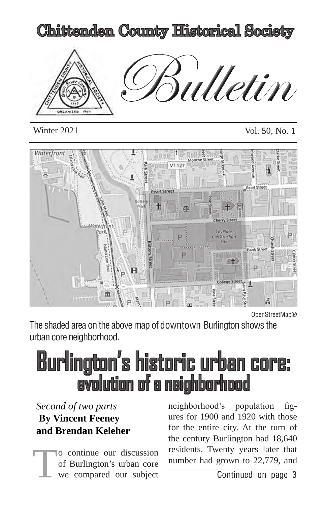

Winter 2021 Vol. 50, No. 1



OpenStreetMap®

The shaded area on the above map of downtown Burlington shows the urban core neighborhood.

# Burlington's historic urban core: evolution of a neighborhood

# *Second of two parts*  **By Vincent Feeney and Brendan Keleher**

o continue our discussion of Burlington's urban core we compared our subject

neighborhood's population figures for 1900 and 1920 with those for the entire city. At the turn of the century Burlington had 18,640 residents. Twenty years later that number had grown to 22,779, and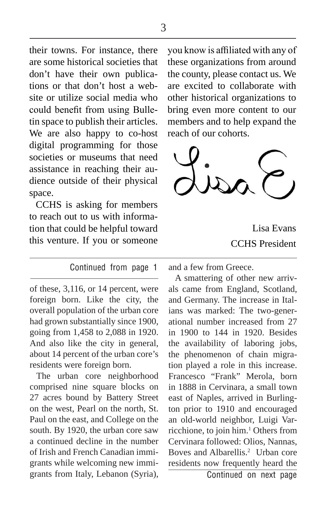their towns. For instance, there are some historical societies that don't have their own publications or that don't host a website or utilize social media who could benefit from using Bulletin space to publish their articles. We are also happy to co-host digital programming for those societies or museums that need assistance in reaching their audience outside of their physical space.

CCHS is asking for members to reach out to us with information that could be helpful toward this venture. If you or someone

#### Continued from page 1

of these, 3,116, or 14 percent, were foreign born. Like the city, the overall population of the urban core had grown substantially since 1900, going from 1,458 to 2,088 in 1920. And also like the city in general, about 14 percent of the urban core's residents were foreign born.

The urban core neighborhood comprised nine square blocks on 27 acres bound by Battery Street on the west, Pearl on the north, St. Paul on the east, and College on the south. By 1920, the urban core saw a continued decline in the number of Irish and French Canadian immigrants while welcoming new immigrants from Italy, Lebanon (Syria),

you know is affiliated with any of these organizations from around the county, please contact us. We are excited to collaborate with other historical organizations to bring even more content to our members and to help expand the reach of our cohorts.



Lisa Evans CCHS President

and a few from Greece.

A smattering of other new arrivals came from England, Scotland, and Germany. The increase in Italians was marked: The two-generational number increased from 27 in 1900 to 144 in 1920. Besides the availability of laboring jobs, the phenomenon of chain migration played a role in this increase. Francesco "Frank" Merola, born in 1888 in Cervinara, a small town east of Naples, arrived in Burlington prior to 1910 and encouraged an old-world neighbor, Luigi Varricchione, to join him.<sup>1</sup> Others from Cervinara followed: Olios, Nannas, Boves and Albarellis.2 Urban core residents now frequently heard the

Continued on next page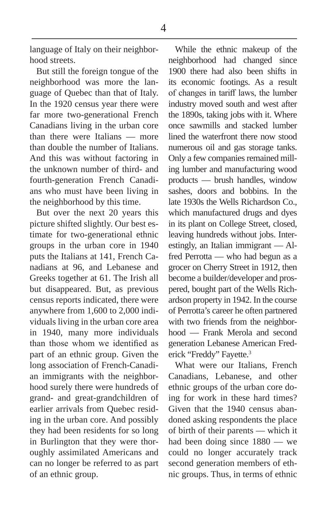language of Italy on their neighborhood streets.

But still the foreign tongue of the neighborhood was more the language of Quebec than that of Italy. In the 1920 census year there were far more two-generational French Canadians living in the urban core than there were Italians — more than double the number of Italians. And this was without factoring in the unknown number of third- and fourth-generation French Canadians who must have been living in the neighborhood by this time.

But over the next 20 years this picture shifted slightly. Our best estimate for two-generational ethnic groups in the urban core in 1940 puts the Italians at 141, French Canadians at 96, and Lebanese and Greeks together at 61. The Irish all but disappeared. But, as previous census reports indicated, there were anywhere from 1,600 to 2,000 individuals living in the urban core area in 1940, many more individuals than those whom we identified as part of an ethnic group. Given the long association of French-Canadian immigrants with the neighborhood surely there were hundreds of grand- and great-grandchildren of earlier arrivals from Quebec residing in the urban core. And possibly they had been residents for so long in Burlington that they were thoroughly assimilated Americans and can no longer be referred to as part of an ethnic group.

While the ethnic makeup of the neighborhood had changed since 1900 there had also been shifts in its economic footings. As a result of changes in tariff laws, the lumber industry moved south and west after the 1890s, taking jobs with it. Where once sawmills and stacked lumber lined the waterfront there now stood numerous oil and gas storage tanks. Only a few companies remained milling lumber and manufacturing wood products — brush handles, window sashes, doors and bobbins. In the late 1930s the Wells Richardson Co., which manufactured drugs and dyes in its plant on College Street, closed, leaving hundreds without jobs. Interestingly, an Italian immigrant — Alfred Perrotta — who had begun as a grocer on Cherry Street in 1912, then become a builder/developer and prospered, bought part of the Wells Richardson property in 1942. In the course of Perrotta's career he often partnered with two friends from the neighborhood — Frank Merola and second generation Lebanese American Frederick "Freddy" Fayette.<sup>3</sup>

What were our Italians, French Canadians, Lebanese, and other ethnic groups of the urban core doing for work in these hard times? Given that the 1940 census abandoned asking respondents the place of birth of their parents — which it had been doing since 1880 — we could no longer accurately track second generation members of ethnic groups. Thus, in terms of ethnic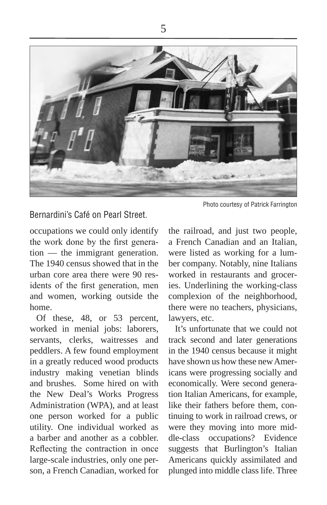

Bernardini's Café on Pearl Street.

occupations we could only identify the work done by the first generation — the immigrant generation. The 1940 census showed that in the urban core area there were 90 residents of the first generation, men and women, working outside the home.

Of these, 48, or 53 percent, worked in menial jobs: laborers, servants, clerks, waitresses and peddlers. A few found employment in a greatly reduced wood products industry making venetian blinds and brushes. Some hired on with the New Deal's Works Progress Administration (WPA), and at least one person worked for a public utility. One individual worked as a barber and another as a cobbler. Reflecting the contraction in once large-scale industries, only one person, a French Canadian, worked for

Photo courtesy of Patrick Farrington

the railroad, and just two people, a French Canadian and an Italian, were listed as working for a lumber company. Notably, nine Italians worked in restaurants and groceries. Underlining the working-class complexion of the neighborhood, there were no teachers, physicians, lawyers, etc.

It's unfortunate that we could not track second and later generations in the 1940 census because it might have shown us how these new Americans were progressing socially and economically. Were second generation Italian Americans, for example, like their fathers before them, continuing to work in railroad crews, or were they moving into more middle-class occupations? Evidence suggests that Burlington's Italian Americans quickly assimilated and plunged into middle class life. Three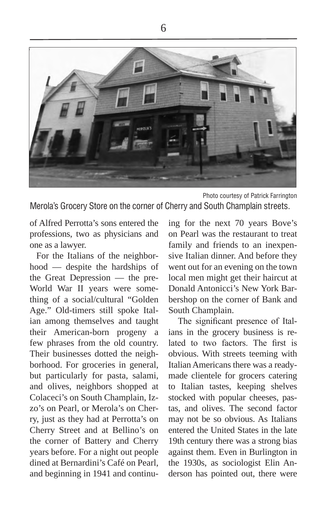

Photo courtesy of Patrick Farrington

Merola's Grocery Store on the corner of Cherry and South Champlain streets.

of Alfred Perrotta's sons entered the professions, two as physicians and one as a lawyer.

For the Italians of the neighborhood — despite the hardships of the Great Depression — the pre-World War II years were something of a social/cultural "Golden Age." Old-timers still spoke Italian among themselves and taught their American-born progeny a few phrases from the old country. Their businesses dotted the neighborhood. For groceries in general, but particularly for pasta, salami, and olives, neighbors shopped at Colaceci's on South Champlain, Izzo's on Pearl, or Merola's on Cherry, just as they had at Perrotta's on Cherry Street and at Bellino's on the corner of Battery and Cherry years before. For a night out people dined at Bernardini's Café on Pearl, and beginning in 1941 and continu-

ing for the next 70 years Bove's on Pearl was the restaurant to treat family and friends to an inexpensive Italian dinner. And before they went out for an evening on the town local men might get their haircut at Donald Antonicci's New York Barbershop on the corner of Bank and South Champlain.

 The significant presence of Italians in the grocery business is related to two factors. The first is obvious. With streets teeming with Italian Americans there was a readymade clientele for grocers catering to Italian tastes, keeping shelves stocked with popular cheeses, pastas, and olives. The second factor may not be so obvious. As Italians entered the United States in the late 19th century there was a strong bias against them. Even in Burlington in the 1930s, as sociologist Elin Anderson has pointed out, there were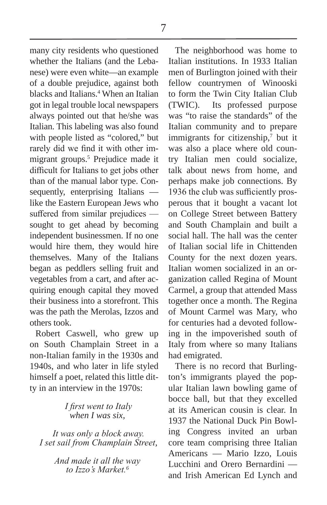many city residents who questioned whether the Italians (and the Lebanese) were even white—an example of a double prejudice, against both blacks and Italians.<sup>4</sup> When an Italian got in legal trouble local newspapers always pointed out that he/she was Italian. This labeling was also found with people listed as "colored," but rarely did we find it with other immigrant groups.5 Prejudice made it difficult for Italians to get jobs other than of the manual labor type. Consequently, enterprising Italians like the Eastern European Jews who suffered from similar prejudices sought to get ahead by becoming independent businessmen. If no one would hire them, they would hire themselves. Many of the Italians began as peddlers selling fruit and vegetables from a cart, and after acquiring enough capital they moved their business into a storefront. This was the path the Merolas, Izzos and others took.

Robert Caswell, who grew up on South Champlain Street in a non-Italian family in the 1930s and 1940s, and who later in life styled himself a poet, related this little ditty in an interview in the 1970s:

## *I first went to Italy when I was six,*

 *It was only a block away. I set sail from Champlain Street,*

> *And made it all the way to Izzo's Market.<sup>6</sup>*

The neighborhood was home to Italian institutions. In 1933 Italian men of Burlington joined with their fellow countrymen of Winooski to form the Twin City Italian Club (TWIC). Its professed purpose was "to raise the standards" of the Italian community and to prepare immigrants for citizenship,<sup>7</sup> but it was also a place where old country Italian men could socialize, talk about news from home, and perhaps make job connections. By 1936 the club was sufficiently prosperous that it bought a vacant lot on College Street between Battery and South Champlain and built a social hall. The hall was the center of Italian social life in Chittenden County for the next dozen years. Italian women socialized in an organization called Regina of Mount Carmel, a group that attended Mass together once a month. The Regina of Mount Carmel was Mary, who for centuries had a devoted following in the impoverished south of Italy from where so many Italians had emigrated.

There is no record that Burlington's immigrants played the popular Italian lawn bowling game of bocce ball, but that they excelled at its American cousin is clear. In 1937 the National Duck Pin Bowling Congress invited an urban core team comprising three Italian Americans — Mario Izzo, Louis Lucchini and Orero Bernardini and Irish American Ed Lynch and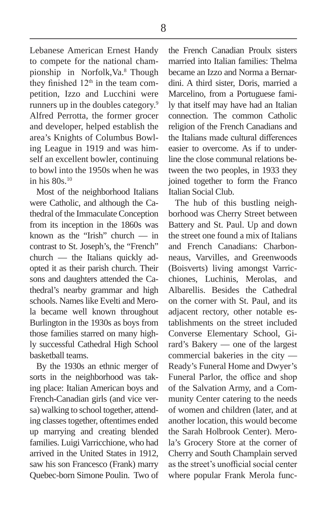Lebanese American Ernest Handy to compete for the national championship in Norfolk,Va.8 Though they finished  $12<sup>th</sup>$  in the team competition, Izzo and Lucchini were runners up in the doubles category.9 Alfred Perrotta, the former grocer and developer, helped establish the area's Knights of Columbus Bowling League in 1919 and was himself an excellent bowler, continuing to bowl into the 1950s when he was in his  $80s$ <sup>10</sup>

Most of the neighborhood Italians were Catholic, and although the Cathedral of the Immaculate Conception from its inception in the 1860s was known as the "Irish" church — in contrast to St. Joseph's, the "French" church — the Italians quickly adopted it as their parish church. Their sons and daughters attended the Cathedral's nearby grammar and high schools. Names like Evelti and Merola became well known throughout Burlington in the 1930s as boys from those families starred on many highly successful Cathedral High School basketball teams.

By the 1930s an ethnic merger of sorts in the neighborhood was taking place: Italian American boys and French-Canadian girls (and vice versa) walking to school together, attending classes together, oftentimes ended up marrying and creating blended families. Luigi Varricchione, who had arrived in the United States in 1912, saw his son Francesco (Frank) marry Quebec-born Simone Poulin. Two of

the French Canadian Proulx sisters married into Italian families: Thelma became an Izzo and Norma a Bernardini. A third sister, Doris, married a Marcelino, from a Portuguese family that itself may have had an Italian connection. The common Catholic religion of the French Canadians and the Italians made cultural differences easier to overcome. As if to underline the close communal relations between the two peoples, in 1933 they joined together to form the Franco Italian Social Club.

The hub of this bustling neighborhood was Cherry Street between Battery and St. Paul. Up and down the street one found a mix of Italians and French Canadians: Charbonneaus, Varvilles, and Greenwoods (Boisverts) living amongst Varricchiones, Luchinis, Merolas, and Albarellis. Besides the Cathedral on the corner with St. Paul, and its adjacent rectory, other notable establishments on the street included Converse Elementary School, Girard's Bakery — one of the largest commercial bakeries in the city — Ready's Funeral Home and Dwyer's Funeral Parlor, the office and shop of the Salvation Army, and a Community Center catering to the needs of women and children (later, and at another location, this would become the Sarah Holbrook Center). Merola's Grocery Store at the corner of Cherry and South Champlain served as the street's unofficial social center where popular Frank Merola func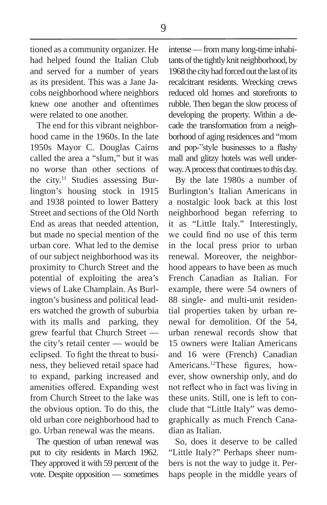9

tioned as a community organizer. He had helped found the Italian Club and served for a number of years as its president. This was a Jane Jacobs neighborhood where neighbors knew one another and oftentimes were related to one another.

The end for this vibrant neighborhood came in the 1960s. In the late 1950s Mayor C. Douglas Cairns called the area a "slum," but it was no worse than other sections of the city.<sup>11</sup> Studies assessing Burlington's housing stock in 1915 and 1938 pointed to lower Battery Street and sections of the Old North End as areas that needed attention, but made no special mention of the urban core. What led to the demise of our subject neighborhood was its proximity to Church Street and the potential of exploiting the area's views of Lake Champlain. As Burlington's business and political leaders watched the growth of suburbia with its malls and parking, they grew fearful that Church Street the city's retail center — would be eclipsed. To fight the threat to business, they believed retail space had to expand, parking increased and amenities offered. Expanding west from Church Street to the lake was the obvious option. To do this, the old urban core neighborhood had to go. Urban renewal was the means.

The question of urban renewal was put to city residents in March 1962. They approved it with 59 percent of the vote. Despite opposition — sometimes intense — from many long-time inhabitants of the tightly knit neighborhood, by 1968 the city had forced out the last of its recalcitrant residents. Wrecking crews reduced old homes and storefronts to rubble. Then began the slow process of developing the property. Within a decade the transformation from a neighborhood of aging residences and "mom and pop-"style businesses to a flashy mall and glitzy hotels was well underway. A process that continues to this day.

By the late 1980s a number of Burlington's Italian Americans in a nostalgic look back at this lost neighborhood began referring to it as "Little Italy." Interestingly, we could find no use of this term in the local press prior to urban renewal. Moreover, the neighborhood appears to have been as much French Canadian as Italian. For example, there were 54 owners of 88 single- and multi-unit residential properties taken by urban renewal for demolition. Of the 54, urban renewal records show that 15 owners were Italian Americans and 16 were (French) Canadian Americans.12These figures, however, show ownership only, and do not reflect who in fact was living in these units. Still, one is left to conclude that "Little Italy" was demographically as much French Canadian as Italian.

So, does it deserve to be called "Little Italy?" Perhaps sheer numbers is not the way to judge it. Perhaps people in the middle years of